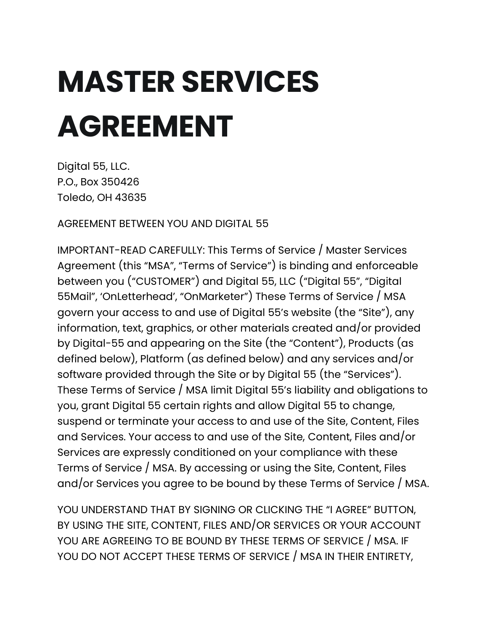# **MASTER SERVICES AGREEMENT**

Digital 55, LLC. P.O., Box 350426 Toledo, OH 43635

AGREEMENT BETWEEN YOU AND DIGITAL 55

IMPORTANT-READ CAREFULLY: This Terms of Service / Master Services Agreement (this "MSA", "Terms of Service") is binding and enforceable between you ("CUSTOMER") and Digital 55, LLC ("Digital 55", "Digital 55Mail", 'OnLetterhead', "OnMarketer") These Terms of Service / MSA govern your access to and use of Digital 55's website (the "Site"), any information, text, graphics, or other materials created and/or provided by Digital-55 and appearing on the Site (the "Content"), Products (as defined below), Platform (as defined below) and any services and/or software provided through the Site or by Digital 55 (the "Services"). These Terms of Service / MSA limit Digital 55's liability and obligations to you, grant Digital 55 certain rights and allow Digital 55 to change, suspend or terminate your access to and use of the Site, Content, Files and Services. Your access to and use of the Site, Content, Files and/or Services are expressly conditioned on your compliance with these Terms of Service / MSA. By accessing or using the Site, Content, Files and/or Services you agree to be bound by these Terms of Service / MSA.

YOU UNDERSTAND THAT BY SIGNING OR CLICKING THE "I AGREE" BUTTON, BY USING THE SITE, CONTENT, FILES AND/OR SERVICES OR YOUR ACCOUNT YOU ARE AGREEING TO BE BOUND BY THESE TERMS OF SERVICE / MSA. IF YOU DO NOT ACCEPT THESE TERMS OF SERVICE / MSA IN THEIR ENTIRETY,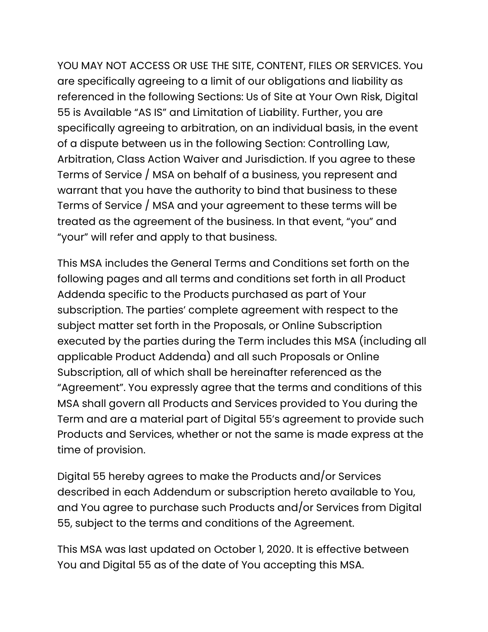YOU MAY NOT ACCESS OR USE THE SITE, CONTENT, FILES OR SERVICES. You are specifically agreeing to a limit of our obligations and liability as referenced in the following Sections: Us of Site at Your Own Risk, Digital 55 is Available "AS IS" and Limitation of Liability. Further, you are specifically agreeing to arbitration, on an individual basis, in the event of a dispute between us in the following Section: Controlling Law, Arbitration, Class Action Waiver and Jurisdiction. If you agree to these Terms of Service / MSA on behalf of a business, you represent and warrant that you have the authority to bind that business to these Terms of Service / MSA and your agreement to these terms will be treated as the agreement of the business. In that event, "you" and "your" will refer and apply to that business.

This MSA includes the General Terms and Conditions set forth on the following pages and all terms and conditions set forth in all Product Addenda specific to the Products purchased as part of Your subscription. The parties' complete agreement with respect to the subject matter set forth in the Proposals, or Online Subscription executed by the parties during the Term includes this MSA (including all applicable Product Addenda) and all such Proposals or Online Subscription, all of which shall be hereinafter referenced as the "Agreement". You expressly agree that the terms and conditions of this MSA shall govern all Products and Services provided to You during the Term and are a material part of Digital 55's agreement to provide such Products and Services, whether or not the same is made express at the time of provision.

Digital 55 hereby agrees to make the Products and/or Services described in each Addendum or subscription hereto available to You, and You agree to purchase such Products and/or Services from Digital 55, subject to the terms and conditions of the Agreement.

This MSA was last updated on October 1, 2020. It is effective between You and Digital 55 as of the date of You accepting this MSA.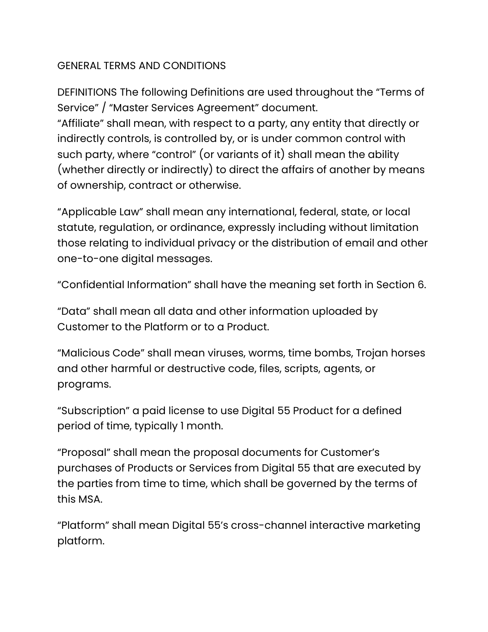# GENERAL TERMS AND CONDITIONS

DEFINITIONS The following Definitions are used throughout the "Terms of Service" / "Master Services Agreement" document. "Affiliate" shall mean, with respect to a party, any entity that directly or indirectly controls, is controlled by, or is under common control with such party, where "control" (or variants of it) shall mean the ability (whether directly or indirectly) to direct the affairs of another by means of ownership, contract or otherwise.

"Applicable Law" shall mean any international, federal, state, or local statute, regulation, or ordinance, expressly including without limitation those relating to individual privacy or the distribution of email and other one-to-one digital messages.

"Confidential Information" shall have the meaning set forth in Section 6.

"Data" shall mean all data and other information uploaded by Customer to the Platform or to a Product.

"Malicious Code" shall mean viruses, worms, time bombs, Trojan horses and other harmful or destructive code, files, scripts, agents, or programs.

"Subscription" a paid license to use Digital 55 Product for a defined period of time, typically 1 month.

"Proposal" shall mean the proposal documents for Customer's purchases of Products or Services from Digital 55 that are executed by the parties from time to time, which shall be governed by the terms of this MSA.

"Platform" shall mean Digital 55's cross-channel interactive marketing platform.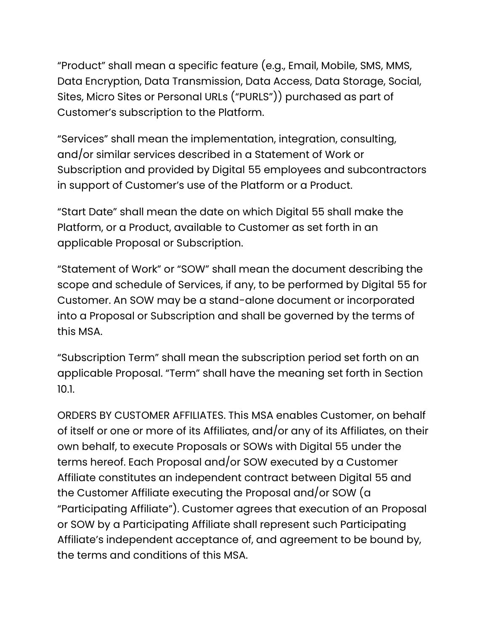"Product" shall mean a specific feature (e.g., Email, Mobile, SMS, MMS, Data Encryption, Data Transmission, Data Access, Data Storage, Social, Sites, Micro Sites or Personal URLs ("PURLS")) purchased as part of Customer's subscription to the Platform.

"Services" shall mean the implementation, integration, consulting, and/or similar services described in a Statement of Work or Subscription and provided by Digital 55 employees and subcontractors in support of Customer's use of the Platform or a Product.

"Start Date" shall mean the date on which Digital 55 shall make the Platform, or a Product, available to Customer as set forth in an applicable Proposal or Subscription.

"Statement of Work" or "SOW" shall mean the document describing the scope and schedule of Services, if any, to be performed by Digital 55 for Customer. An SOW may be a stand-alone document or incorporated into a Proposal or Subscription and shall be governed by the terms of this MSA.

"Subscription Term" shall mean the subscription period set forth on an applicable Proposal. "Term" shall have the meaning set forth in Section 10.1.

ORDERS BY CUSTOMER AFFILIATES. This MSA enables Customer, on behalf of itself or one or more of its Affiliates, and/or any of its Affiliates, on their own behalf, to execute Proposals or SOWs with Digital 55 under the terms hereof. Each Proposal and/or SOW executed by a Customer Affiliate constitutes an independent contract between Digital 55 and the Customer Affiliate executing the Proposal and/or SOW (a "Participating Affiliate"). Customer agrees that execution of an Proposal or SOW by a Participating Affiliate shall represent such Participating Affiliate's independent acceptance of, and agreement to be bound by, the terms and conditions of this MSA.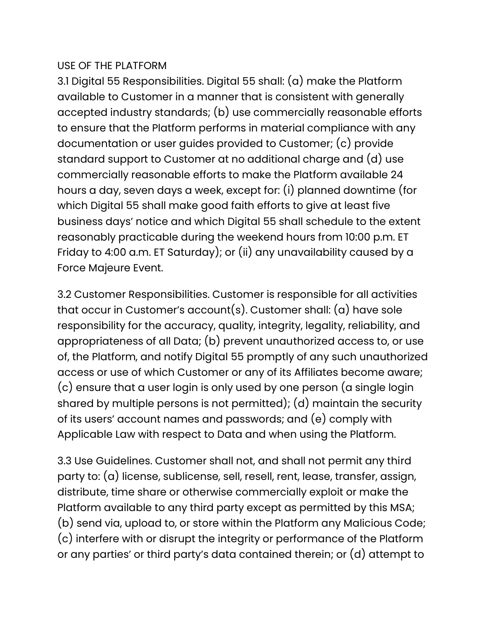## USE OF THE PLATFORM

3.1 Digital 55 Responsibilities. Digital 55 shall: (a) make the Platform available to Customer in a manner that is consistent with generally accepted industry standards; (b) use commercially reasonable efforts to ensure that the Platform performs in material compliance with any documentation or user guides provided to Customer; (c) provide standard support to Customer at no additional charge and (d) use commercially reasonable efforts to make the Platform available 24 hours a day, seven days a week, except for: (i) planned downtime (for which Digital 55 shall make good faith efforts to give at least five business days' notice and which Digital 55 shall schedule to the extent reasonably practicable during the weekend hours from 10:00 p.m. ET Friday to 4:00 a.m. ET Saturday); or (ii) any unavailability caused by a Force Majeure Event.

3.2 Customer Responsibilities. Customer is responsible for all activities that occur in Customer's account(s). Customer shall: (a) have sole responsibility for the accuracy, quality, integrity, legality, reliability, and appropriateness of all Data; (b) prevent unauthorized access to, or use of, the Platform, and notify Digital 55 promptly of any such unauthorized access or use of which Customer or any of its Affiliates become aware; (c) ensure that a user login is only used by one person (a single login shared by multiple persons is not permitted); (d) maintain the security of its users' account names and passwords; and (e) comply with Applicable Law with respect to Data and when using the Platform.

3.3 Use Guidelines. Customer shall not, and shall not permit any third party to: (a) license, sublicense, sell, resell, rent, lease, transfer, assign, distribute, time share or otherwise commercially exploit or make the Platform available to any third party except as permitted by this MSA; (b) send via, upload to, or store within the Platform any Malicious Code; (c) interfere with or disrupt the integrity or performance of the Platform or any parties' or third party's data contained therein; or (d) attempt to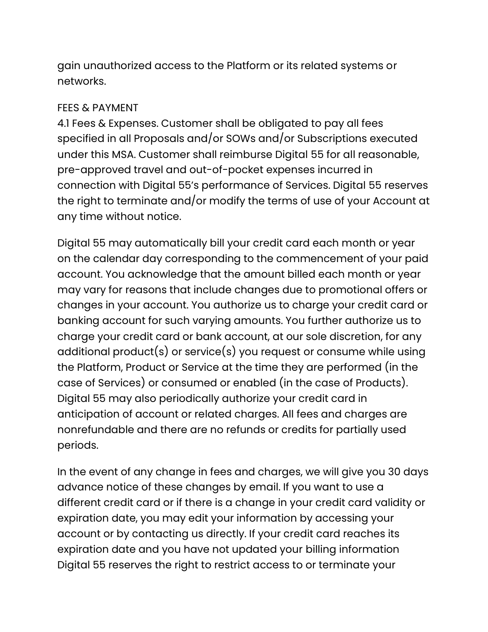gain unauthorized access to the Platform or its related systems or networks.

#### FEES & PAYMENT

4.1 Fees & Expenses. Customer shall be obligated to pay all fees specified in all Proposals and/or SOWs and/or Subscriptions executed under this MSA. Customer shall reimburse Digital 55 for all reasonable, pre-approved travel and out-of-pocket expenses incurred in connection with Digital 55's performance of Services. Digital 55 reserves the right to terminate and/or modify the terms of use of your Account at any time without notice.

Digital 55 may automatically bill your credit card each month or year on the calendar day corresponding to the commencement of your paid account. You acknowledge that the amount billed each month or year may vary for reasons that include changes due to promotional offers or changes in your account. You authorize us to charge your credit card or banking account for such varying amounts. You further authorize us to charge your credit card or bank account, at our sole discretion, for any additional product(s) or service(s) you request or consume while using the Platform, Product or Service at the time they are performed (in the case of Services) or consumed or enabled (in the case of Products). Digital 55 may also periodically authorize your credit card in anticipation of account or related charges. All fees and charges are nonrefundable and there are no refunds or credits for partially used periods.

In the event of any change in fees and charges, we will give you 30 days advance notice of these changes by email. If you want to use a different credit card or if there is a change in your credit card validity or expiration date, you may edit your information by accessing your account or by contacting us directly. If your credit card reaches its expiration date and you have not updated your billing information Digital 55 reserves the right to restrict access to or terminate your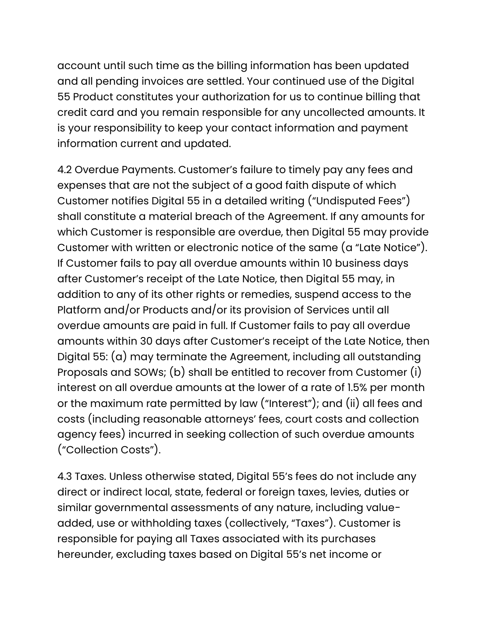account until such time as the billing information has been updated and all pending invoices are settled. Your continued use of the Digital 55 Product constitutes your authorization for us to continue billing that credit card and you remain responsible for any uncollected amounts. It is your responsibility to keep your contact information and payment information current and updated.

4.2 Overdue Payments. Customer's failure to timely pay any fees and expenses that are not the subject of a good faith dispute of which Customer notifies Digital 55 in a detailed writing ("Undisputed Fees") shall constitute a material breach of the Agreement. If any amounts for which Customer is responsible are overdue, then Digital 55 may provide Customer with written or electronic notice of the same (a "Late Notice"). If Customer fails to pay all overdue amounts within 10 business days after Customer's receipt of the Late Notice, then Digital 55 may, in addition to any of its other rights or remedies, suspend access to the Platform and/or Products and/or its provision of Services until all overdue amounts are paid in full. If Customer fails to pay all overdue amounts within 30 days after Customer's receipt of the Late Notice, then Digital 55: (a) may terminate the Agreement, including all outstanding Proposals and SOWs; (b) shall be entitled to recover from Customer (i) interest on all overdue amounts at the lower of a rate of 1.5% per month or the maximum rate permitted by law ("Interest"); and (ii) all fees and costs (including reasonable attorneys' fees, court costs and collection agency fees) incurred in seeking collection of such overdue amounts ("Collection Costs").

4.3 Taxes. Unless otherwise stated, Digital 55's fees do not include any direct or indirect local, state, federal or foreign taxes, levies, duties or similar governmental assessments of any nature, including valueadded, use or withholding taxes (collectively, "Taxes"). Customer is responsible for paying all Taxes associated with its purchases hereunder, excluding taxes based on Digital 55's net income or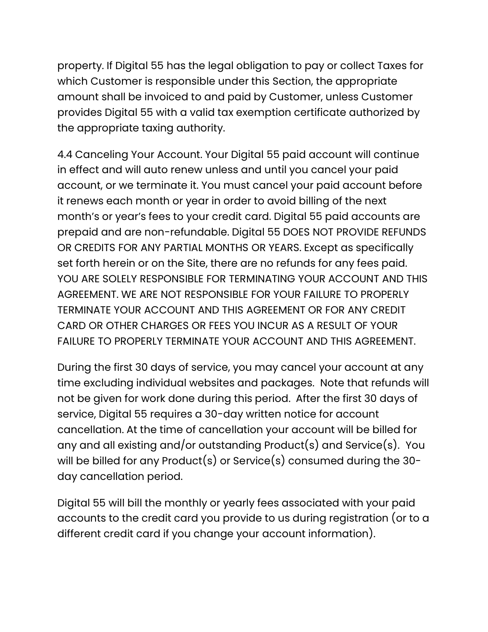property. If Digital 55 has the legal obligation to pay or collect Taxes for which Customer is responsible under this Section, the appropriate amount shall be invoiced to and paid by Customer, unless Customer provides Digital 55 with a valid tax exemption certificate authorized by the appropriate taxing authority.

4.4 Canceling Your Account. Your Digital 55 paid account will continue in effect and will auto renew unless and until you cancel your paid account, or we terminate it. You must cancel your paid account before it renews each month or year in order to avoid billing of the next month's or year's fees to your credit card. Digital 55 paid accounts are prepaid and are non-refundable. Digital 55 DOES NOT PROVIDE REFUNDS OR CREDITS FOR ANY PARTIAL MONTHS OR YEARS. Except as specifically set forth herein or on the Site, there are no refunds for any fees paid. YOU ARE SOLELY RESPONSIBLE FOR TERMINATING YOUR ACCOUNT AND THIS AGREEMENT. WE ARE NOT RESPONSIBLE FOR YOUR FAILURE TO PROPERLY TERMINATE YOUR ACCOUNT AND THIS AGREEMENT OR FOR ANY CREDIT CARD OR OTHER CHARGES OR FEES YOU INCUR AS A RESULT OF YOUR FAILURE TO PROPERLY TERMINATE YOUR ACCOUNT AND THIS AGREEMENT.

During the first 30 days of service, you may cancel your account at any time excluding individual websites and packages. Note that refunds will not be given for work done during this period. After the first 30 days of service, Digital 55 requires a 30-day written notice for account cancellation. At the time of cancellation your account will be billed for any and all existing and/or outstanding Product(s) and Service(s). You will be billed for any Product(s) or Service(s) consumed during the 30 day cancellation period.

Digital 55 will bill the monthly or yearly fees associated with your paid accounts to the credit card you provide to us during registration (or to a different credit card if you change your account information).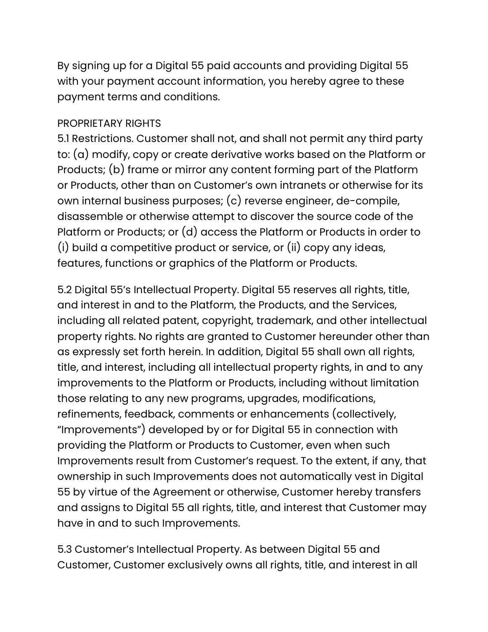By signing up for a Digital 55 paid accounts and providing Digital 55 with your payment account information, you hereby agree to these payment terms and conditions.

## PROPRIETARY RIGHTS

5.1 Restrictions. Customer shall not, and shall not permit any third party to: (a) modify, copy or create derivative works based on the Platform or Products; (b) frame or mirror any content forming part of the Platform or Products, other than on Customer's own intranets or otherwise for its own internal business purposes; (c) reverse engineer, de-compile, disassemble or otherwise attempt to discover the source code of the Platform or Products; or (d) access the Platform or Products in order to (i) build a competitive product or service, or (ii) copy any ideas, features, functions or graphics of the Platform or Products.

5.2 Digital 55's Intellectual Property. Digital 55 reserves all rights, title, and interest in and to the Platform, the Products, and the Services, including all related patent, copyright, trademark, and other intellectual property rights. No rights are granted to Customer hereunder other than as expressly set forth herein. In addition, Digital 55 shall own all rights, title, and interest, including all intellectual property rights, in and to any improvements to the Platform or Products, including without limitation those relating to any new programs, upgrades, modifications, refinements, feedback, comments or enhancements (collectively, "Improvements") developed by or for Digital 55 in connection with providing the Platform or Products to Customer, even when such Improvements result from Customer's request. To the extent, if any, that ownership in such Improvements does not automatically vest in Digital 55 by virtue of the Agreement or otherwise, Customer hereby transfers and assigns to Digital 55 all rights, title, and interest that Customer may have in and to such Improvements.

5.3 Customer's Intellectual Property. As between Digital 55 and Customer, Customer exclusively owns all rights, title, and interest in all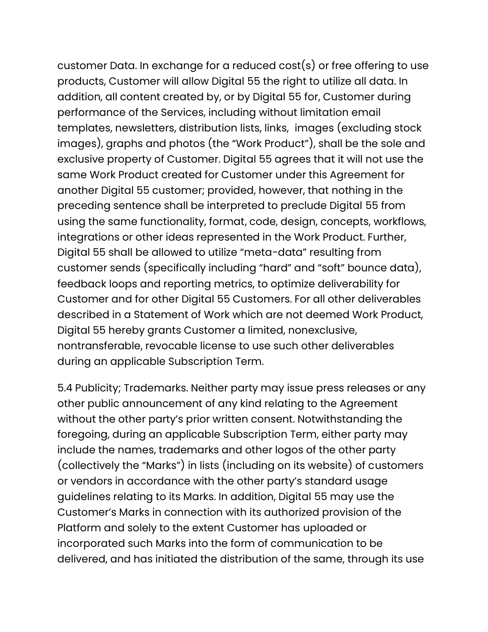customer Data. In exchange for a reduced cost(s) or free offering to use products, Customer will allow Digital 55 the right to utilize all data. In addition, all content created by, or by Digital 55 for, Customer during performance of the Services, including without limitation email templates, newsletters, distribution lists, links, images (excluding stock images), graphs and photos (the "Work Product"), shall be the sole and exclusive property of Customer. Digital 55 agrees that it will not use the same Work Product created for Customer under this Agreement for another Digital 55 customer; provided, however, that nothing in the preceding sentence shall be interpreted to preclude Digital 55 from using the same functionality, format, code, design, concepts, workflows, integrations or other ideas represented in the Work Product. Further, Digital 55 shall be allowed to utilize "meta-data" resulting from customer sends (specifically including "hard" and "soft" bounce data), feedback loops and reporting metrics, to optimize deliverability for Customer and for other Digital 55 Customers. For all other deliverables described in a Statement of Work which are not deemed Work Product, Digital 55 hereby grants Customer a limited, nonexclusive, nontransferable, revocable license to use such other deliverables during an applicable Subscription Term.

5.4 Publicity; Trademarks. Neither party may issue press releases or any other public announcement of any kind relating to the Agreement without the other party's prior written consent. Notwithstanding the foregoing, during an applicable Subscription Term, either party may include the names, trademarks and other logos of the other party (collectively the "Marks") in lists (including on its website) of customers or vendors in accordance with the other party's standard usage guidelines relating to its Marks. In addition, Digital 55 may use the Customer's Marks in connection with its authorized provision of the Platform and solely to the extent Customer has uploaded or incorporated such Marks into the form of communication to be delivered, and has initiated the distribution of the same, through its use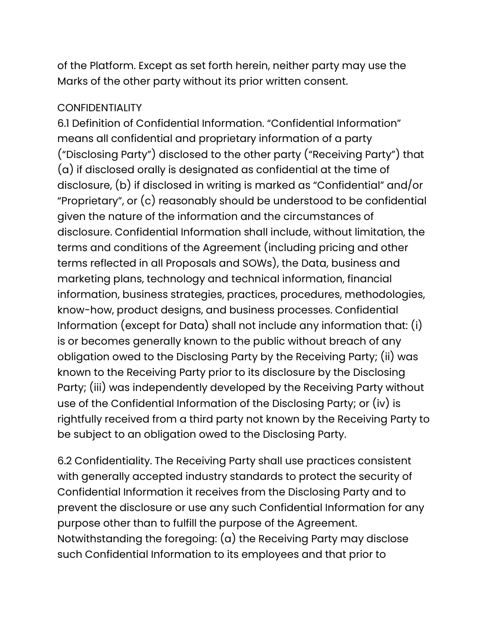of the Platform. Except as set forth herein, neither party may use the Marks of the other party without its prior written consent.

#### **CONFIDENTIALITY**

6.1 Definition of Confidential Information. "Confidential Information" means all confidential and proprietary information of a party ("Disclosing Party") disclosed to the other party ("Receiving Party") that (a) if disclosed orally is designated as confidential at the time of disclosure, (b) if disclosed in writing is marked as "Confidential" and/or "Proprietary", or (c) reasonably should be understood to be confidential given the nature of the information and the circumstances of disclosure. Confidential Information shall include, without limitation, the terms and conditions of the Agreement (including pricing and other terms reflected in all Proposals and SOWs), the Data, business and marketing plans, technology and technical information, financial information, business strategies, practices, procedures, methodologies, know-how, product designs, and business processes. Confidential Information (except for Data) shall not include any information that: (i) is or becomes generally known to the public without breach of any obligation owed to the Disclosing Party by the Receiving Party; (ii) was known to the Receiving Party prior to its disclosure by the Disclosing Party; (iii) was independently developed by the Receiving Party without use of the Confidential Information of the Disclosing Party; or (iv) is rightfully received from a third party not known by the Receiving Party to be subject to an obligation owed to the Disclosing Party.

6.2 Confidentiality. The Receiving Party shall use practices consistent with generally accepted industry standards to protect the security of Confidential Information it receives from the Disclosing Party and to prevent the disclosure or use any such Confidential Information for any purpose other than to fulfill the purpose of the Agreement. Notwithstanding the foregoing: (a) the Receiving Party may disclose such Confidential Information to its employees and that prior to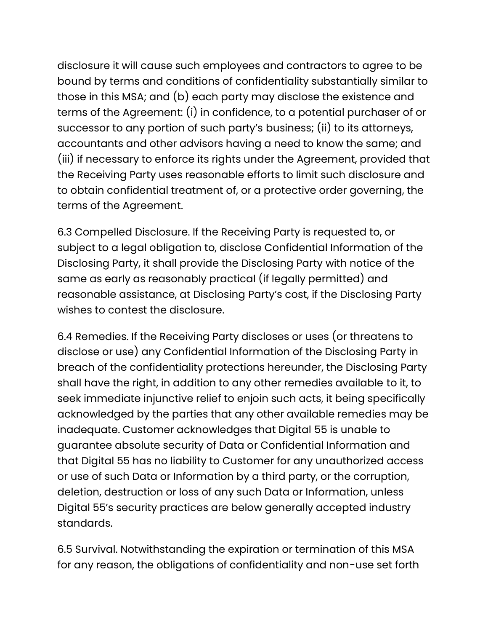disclosure it will cause such employees and contractors to agree to be bound by terms and conditions of confidentiality substantially similar to those in this MSA; and (b) each party may disclose the existence and terms of the Agreement: (i) in confidence, to a potential purchaser of or successor to any portion of such party's business; (ii) to its attorneys, accountants and other advisors having a need to know the same; and (iii) if necessary to enforce its rights under the Agreement, provided that the Receiving Party uses reasonable efforts to limit such disclosure and to obtain confidential treatment of, or a protective order governing, the terms of the Agreement.

6.3 Compelled Disclosure. If the Receiving Party is requested to, or subject to a legal obligation to, disclose Confidential Information of the Disclosing Party, it shall provide the Disclosing Party with notice of the same as early as reasonably practical (if legally permitted) and reasonable assistance, at Disclosing Party's cost, if the Disclosing Party wishes to contest the disclosure.

6.4 Remedies. If the Receiving Party discloses or uses (or threatens to disclose or use) any Confidential Information of the Disclosing Party in breach of the confidentiality protections hereunder, the Disclosing Party shall have the right, in addition to any other remedies available to it, to seek immediate injunctive relief to enjoin such acts, it being specifically acknowledged by the parties that any other available remedies may be inadequate. Customer acknowledges that Digital 55 is unable to guarantee absolute security of Data or Confidential Information and that Digital 55 has no liability to Customer for any unauthorized access or use of such Data or Information by a third party, or the corruption, deletion, destruction or loss of any such Data or Information, unless Digital 55's security practices are below generally accepted industry standards.

6.5 Survival. Notwithstanding the expiration or termination of this MSA for any reason, the obligations of confidentiality and non-use set forth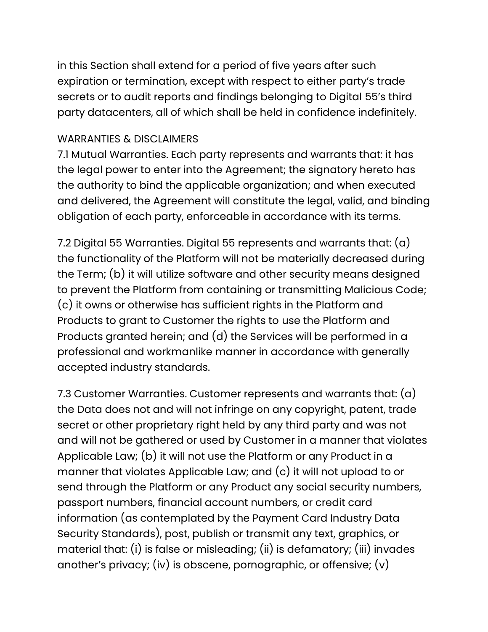in this Section shall extend for a period of five years after such expiration or termination, except with respect to either party's trade secrets or to audit reports and findings belonging to Digital 55's third party datacenters, all of which shall be held in confidence indefinitely.

#### WARRANTIES & DISCLAIMERS

7.1 Mutual Warranties. Each party represents and warrants that: it has the legal power to enter into the Agreement; the signatory hereto has the authority to bind the applicable organization; and when executed and delivered, the Agreement will constitute the legal, valid, and binding obligation of each party, enforceable in accordance with its terms.

7.2 Digital 55 Warranties. Digital 55 represents and warrants that: (a) the functionality of the Platform will not be materially decreased during the Term; (b) it will utilize software and other security means designed to prevent the Platform from containing or transmitting Malicious Code; (c) it owns or otherwise has sufficient rights in the Platform and Products to grant to Customer the rights to use the Platform and Products granted herein; and (d) the Services will be performed in a professional and workmanlike manner in accordance with generally accepted industry standards.

7.3 Customer Warranties. Customer represents and warrants that:  $(a)$ the Data does not and will not infringe on any copyright, patent, trade secret or other proprietary right held by any third party and was not and will not be gathered or used by Customer in a manner that violates Applicable Law; (b) it will not use the Platform or any Product in a manner that violates Applicable Law; and (c) it will not upload to or send through the Platform or any Product any social security numbers, passport numbers, financial account numbers, or credit card information (as contemplated by the Payment Card Industry Data Security Standards), post, publish or transmit any text, graphics, or material that: (i) is false or misleading; (ii) is defamatory; (iii) invades another's privacy; (iv) is obscene, pornographic, or offensive; (v)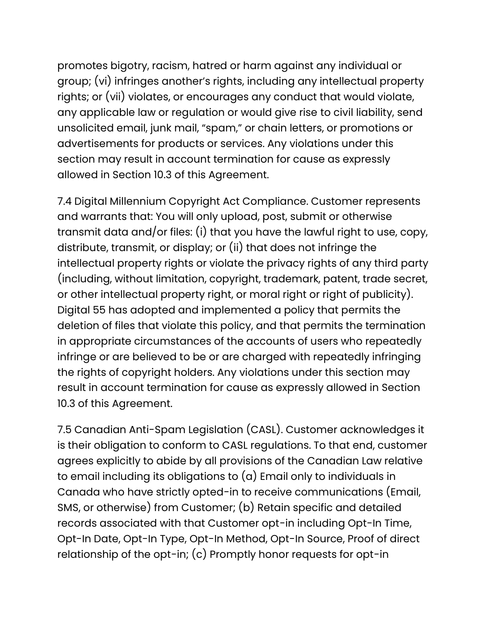promotes bigotry, racism, hatred or harm against any individual or group; (vi) infringes another's rights, including any intellectual property rights; or (vii) violates, or encourages any conduct that would violate, any applicable law or regulation or would give rise to civil liability, send unsolicited email, junk mail, "spam," or chain letters, or promotions or advertisements for products or services. Any violations under this section may result in account termination for cause as expressly allowed in Section 10.3 of this Agreement.

7.4 Digital Millennium Copyright Act Compliance. Customer represents and warrants that: You will only upload, post, submit or otherwise transmit data and/or files: (i) that you have the lawful right to use, copy, distribute, transmit, or display; or (ii) that does not infringe the intellectual property rights or violate the privacy rights of any third party (including, without limitation, copyright, trademark, patent, trade secret, or other intellectual property right, or moral right or right of publicity). Digital 55 has adopted and implemented a policy that permits the deletion of files that violate this policy, and that permits the termination in appropriate circumstances of the accounts of users who repeatedly infringe or are believed to be or are charged with repeatedly infringing the rights of copyright holders. Any violations under this section may result in account termination for cause as expressly allowed in Section 10.3 of this Agreement.

7.5 Canadian Anti-Spam Legislation (CASL). Customer acknowledges it is their obligation to conform to CASL regulations. To that end, customer agrees explicitly to abide by all provisions of the Canadian Law relative to email including its obligations to (a) Email only to individuals in Canada who have strictly opted-in to receive communications (Email, SMS, or otherwise) from Customer; (b) Retain specific and detailed records associated with that Customer opt-in including Opt-In Time, Opt-In Date, Opt-In Type, Opt-In Method, Opt-In Source, Proof of direct relationship of the opt-in; (c) Promptly honor requests for opt-in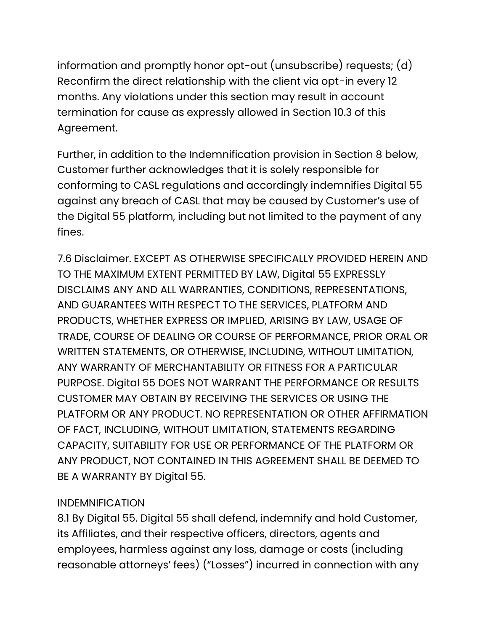information and promptly honor opt-out (unsubscribe) requests; (d) Reconfirm the direct relationship with the client via opt-in every 12 months. Any violations under this section may result in account termination for cause as expressly allowed in Section 10.3 of this Agreement.

Further, in addition to the Indemnification provision in Section 8 below, Customer further acknowledges that it is solely responsible for conforming to CASL regulations and accordingly indemnifies Digital 55 against any breach of CASL that may be caused by Customer's use of the Digital 55 platform, including but not limited to the payment of any fines.

7.6 Disclaimer. EXCEPT AS OTHERWISE SPECIFICALLY PROVIDED HEREIN AND TO THE MAXIMUM EXTENT PERMITTED BY LAW, Digital 55 EXPRESSLY DISCLAIMS ANY AND ALL WARRANTIES, CONDITIONS, REPRESENTATIONS, AND GUARANTEES WITH RESPECT TO THE SERVICES, PLATFORM AND PRODUCTS, WHETHER EXPRESS OR IMPLIED, ARISING BY LAW, USAGE OF TRADE, COURSE OF DEALING OR COURSE OF PERFORMANCE, PRIOR ORAL OR WRITTEN STATEMENTS, OR OTHERWISE, INCLUDING, WITHOUT LIMITATION, ANY WARRANTY OF MERCHANTABILITY OR FITNESS FOR A PARTICULAR PURPOSE. Digital 55 DOES NOT WARRANT THE PERFORMANCE OR RESULTS CUSTOMER MAY OBTAIN BY RECEIVING THE SERVICES OR USING THE PLATFORM OR ANY PRODUCT. NO REPRESENTATION OR OTHER AFFIRMATION OF FACT, INCLUDING, WITHOUT LIMITATION, STATEMENTS REGARDING CAPACITY, SUITABILITY FOR USE OR PERFORMANCE OF THE PLATFORM OR ANY PRODUCT, NOT CONTAINED IN THIS AGREEMENT SHALL BE DEEMED TO BE A WARRANTY BY Digital 55.

# INDEMNIFICATION

8.1 By Digital 55. Digital 55 shall defend, indemnify and hold Customer, its Affiliates, and their respective officers, directors, agents and employees, harmless against any loss, damage or costs (including reasonable attorneys' fees) ("Losses") incurred in connection with any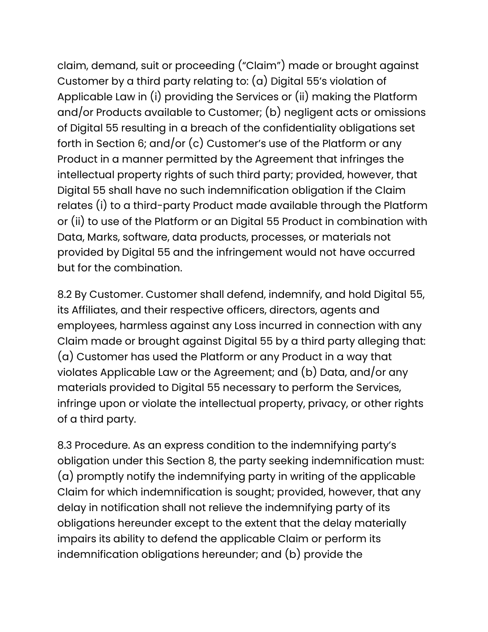claim, demand, suit or proceeding ("Claim") made or brought against Customer by a third party relating to: (a) Digital 55's violation of Applicable Law in (i) providing the Services or (ii) making the Platform and/or Products available to Customer; (b) negligent acts or omissions of Digital 55 resulting in a breach of the confidentiality obligations set forth in Section 6; and/or (c) Customer's use of the Platform or any Product in a manner permitted by the Agreement that infringes the intellectual property rights of such third party; provided, however, that Digital 55 shall have no such indemnification obligation if the Claim relates (i) to a third-party Product made available through the Platform or (ii) to use of the Platform or an Digital 55 Product in combination with Data, Marks, software, data products, processes, or materials not provided by Digital 55 and the infringement would not have occurred but for the combination.

8.2 By Customer. Customer shall defend, indemnify, and hold Digital 55, its Affiliates, and their respective officers, directors, agents and employees, harmless against any Loss incurred in connection with any Claim made or brought against Digital 55 by a third party alleging that: (a) Customer has used the Platform or any Product in a way that violates Applicable Law or the Agreement; and (b) Data, and/or any materials provided to Digital 55 necessary to perform the Services, infringe upon or violate the intellectual property, privacy, or other rights of a third party.

8.3 Procedure. As an express condition to the indemnifying party's obligation under this Section 8, the party seeking indemnification must: (a) promptly notify the indemnifying party in writing of the applicable Claim for which indemnification is sought; provided, however, that any delay in notification shall not relieve the indemnifying party of its obligations hereunder except to the extent that the delay materially impairs its ability to defend the applicable Claim or perform its indemnification obligations hereunder; and (b) provide the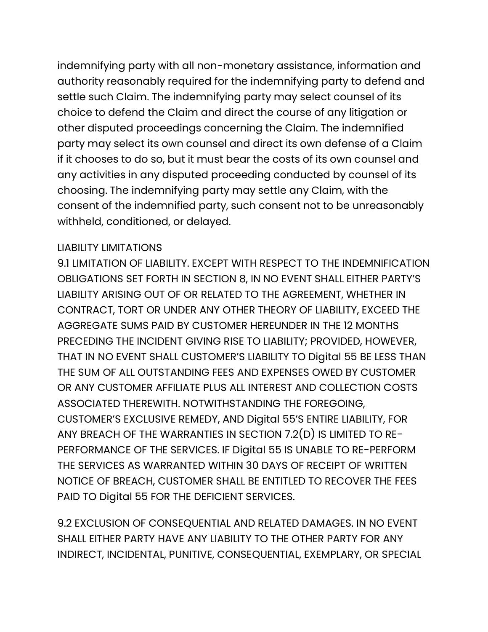indemnifying party with all non-monetary assistance, information and authority reasonably required for the indemnifying party to defend and settle such Claim. The indemnifying party may select counsel of its choice to defend the Claim and direct the course of any litigation or other disputed proceedings concerning the Claim. The indemnified party may select its own counsel and direct its own defense of a Claim if it chooses to do so, but it must bear the costs of its own counsel and any activities in any disputed proceeding conducted by counsel of its choosing. The indemnifying party may settle any Claim, with the consent of the indemnified party, such consent not to be unreasonably withheld, conditioned, or delayed.

#### LIABILITY LIMITATIONS

9.1 LIMITATION OF LIABILITY. EXCEPT WITH RESPECT TO THE INDEMNIFICATION OBLIGATIONS SET FORTH IN SECTION 8, IN NO EVENT SHALL EITHER PARTY'S LIABILITY ARISING OUT OF OR RELATED TO THE AGREEMENT, WHETHER IN CONTRACT, TORT OR UNDER ANY OTHER THEORY OF LIABILITY, EXCEED THE AGGREGATE SUMS PAID BY CUSTOMER HEREUNDER IN THE 12 MONTHS PRECEDING THE INCIDENT GIVING RISE TO LIABILITY; PROVIDED, HOWEVER, THAT IN NO EVENT SHALL CUSTOMER'S LIABILITY TO Digital 55 BE LESS THAN THE SUM OF ALL OUTSTANDING FEES AND EXPENSES OWED BY CUSTOMER OR ANY CUSTOMER AFFILIATE PLUS ALL INTEREST AND COLLECTION COSTS ASSOCIATED THEREWITH. NOTWITHSTANDING THE FOREGOING, CUSTOMER'S EXCLUSIVE REMEDY, AND Digital 55'S ENTIRE LIABILITY, FOR ANY BREACH OF THE WARRANTIES IN SECTION 7.2(D) IS LIMITED TO RE-PERFORMANCE OF THE SERVICES. IF Digital 55 IS UNABLE TO RE-PERFORM THE SERVICES AS WARRANTED WITHIN 30 DAYS OF RECEIPT OF WRITTEN NOTICE OF BREACH, CUSTOMER SHALL BE ENTITLED TO RECOVER THE FEES PAID TO Digital 55 FOR THE DEFICIENT SERVICES.

9.2 EXCLUSION OF CONSEQUENTIAL AND RELATED DAMAGES. IN NO EVENT SHALL EITHER PARTY HAVE ANY LIABILITY TO THE OTHER PARTY FOR ANY INDIRECT, INCIDENTAL, PUNITIVE, CONSEQUENTIAL, EXEMPLARY, OR SPECIAL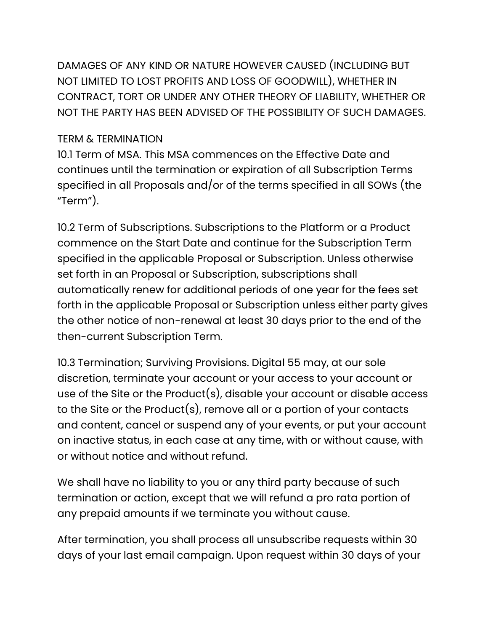DAMAGES OF ANY KIND OR NATURE HOWEVER CAUSED (INCLUDING BUT NOT LIMITED TO LOST PROFITS AND LOSS OF GOODWILL), WHETHER IN CONTRACT, TORT OR UNDER ANY OTHER THEORY OF LIABILITY, WHETHER OR NOT THE PARTY HAS BEEN ADVISED OF THE POSSIBILITY OF SUCH DAMAGES.

## TERM & TERMINATION

10.1 Term of MSA. This MSA commences on the Effective Date and continues until the termination or expiration of all Subscription Terms specified in all Proposals and/or of the terms specified in all SOWs (the "Term").

10.2 Term of Subscriptions. Subscriptions to the Platform or a Product commence on the Start Date and continue for the Subscription Term specified in the applicable Proposal or Subscription. Unless otherwise set forth in an Proposal or Subscription, subscriptions shall automatically renew for additional periods of one year for the fees set forth in the applicable Proposal or Subscription unless either party gives the other notice of non-renewal at least 30 days prior to the end of the then-current Subscription Term.

10.3 Termination; Surviving Provisions. Digital 55 may, at our sole discretion, terminate your account or your access to your account or use of the Site or the Product(s), disable your account or disable access to the Site or the Product(s), remove all or a portion of your contacts and content, cancel or suspend any of your events, or put your account on inactive status, in each case at any time, with or without cause, with or without notice and without refund.

We shall have no liability to you or any third party because of such termination or action, except that we will refund a pro rata portion of any prepaid amounts if we terminate you without cause.

After termination, you shall process all unsubscribe requests within 30 days of your last email campaign. Upon request within 30 days of your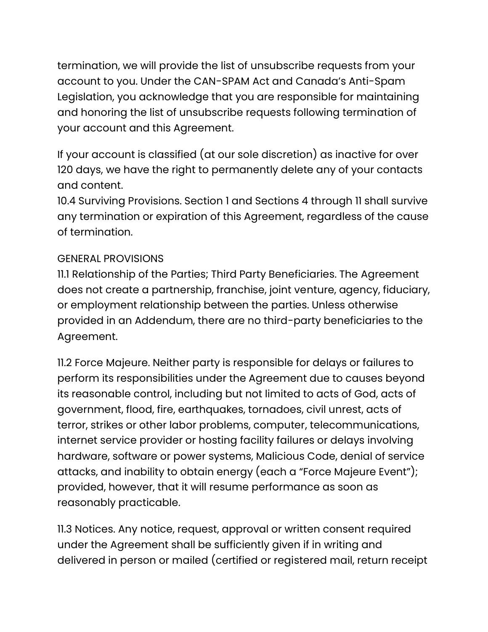termination, we will provide the list of unsubscribe requests from your account to you. Under the CAN-SPAM Act and Canada's Anti-Spam Legislation, you acknowledge that you are responsible for maintaining and honoring the list of unsubscribe requests following termination of your account and this Agreement.

If your account is classified (at our sole discretion) as inactive for over 120 days, we have the right to permanently delete any of your contacts and content.

10.4 Surviving Provisions. Section 1 and Sections 4 through 11 shall survive any termination or expiration of this Agreement, regardless of the cause of termination.

# GENERAL PROVISIONS

11.1 Relationship of the Parties; Third Party Beneficiaries. The Agreement does not create a partnership, franchise, joint venture, agency, fiduciary, or employment relationship between the parties. Unless otherwise provided in an Addendum, there are no third-party beneficiaries to the Agreement.

11.2 Force Majeure. Neither party is responsible for delays or failures to perform its responsibilities under the Agreement due to causes beyond its reasonable control, including but not limited to acts of God, acts of government, flood, fire, earthquakes, tornadoes, civil unrest, acts of terror, strikes or other labor problems, computer, telecommunications, internet service provider or hosting facility failures or delays involving hardware, software or power systems, Malicious Code, denial of service attacks, and inability to obtain energy (each a "Force Majeure Event"); provided, however, that it will resume performance as soon as reasonably practicable.

11.3 Notices. Any notice, request, approval or written consent required under the Agreement shall be sufficiently given if in writing and delivered in person or mailed (certified or registered mail, return receipt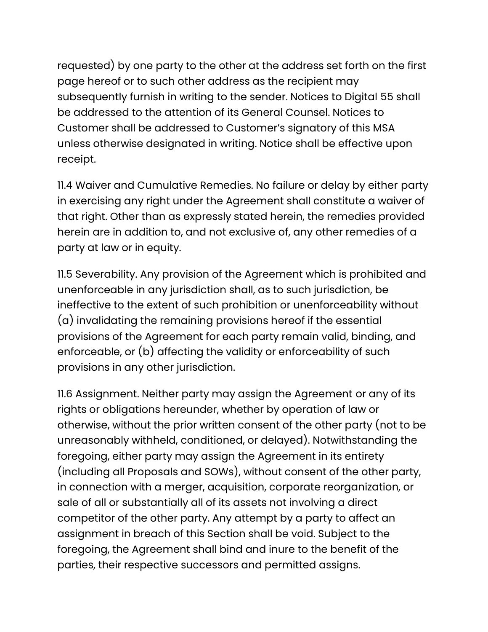requested) by one party to the other at the address set forth on the first page hereof or to such other address as the recipient may subsequently furnish in writing to the sender. Notices to Digital 55 shall be addressed to the attention of its General Counsel. Notices to Customer shall be addressed to Customer's signatory of this MSA unless otherwise designated in writing. Notice shall be effective upon receipt.

11.4 Waiver and Cumulative Remedies. No failure or delay by either party in exercising any right under the Agreement shall constitute a waiver of that right. Other than as expressly stated herein, the remedies provided herein are in addition to, and not exclusive of, any other remedies of a party at law or in equity.

11.5 Severability. Any provision of the Agreement which is prohibited and unenforceable in any jurisdiction shall, as to such jurisdiction, be ineffective to the extent of such prohibition or unenforceability without (a) invalidating the remaining provisions hereof if the essential provisions of the Agreement for each party remain valid, binding, and enforceable, or (b) affecting the validity or enforceability of such provisions in any other jurisdiction.

11.6 Assignment. Neither party may assign the Agreement or any of its rights or obligations hereunder, whether by operation of law or otherwise, without the prior written consent of the other party (not to be unreasonably withheld, conditioned, or delayed). Notwithstanding the foregoing, either party may assign the Agreement in its entirety (including all Proposals and SOWs), without consent of the other party, in connection with a merger, acquisition, corporate reorganization, or sale of all or substantially all of its assets not involving a direct competitor of the other party. Any attempt by a party to affect an assignment in breach of this Section shall be void. Subject to the foregoing, the Agreement shall bind and inure to the benefit of the parties, their respective successors and permitted assigns.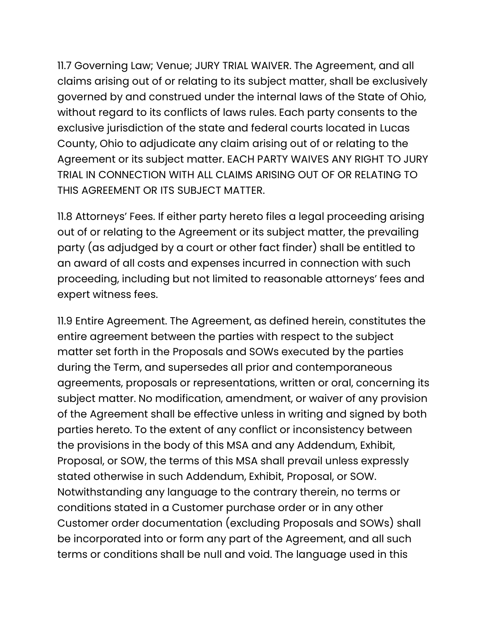11.7 Governing Law; Venue; JURY TRIAL WAIVER. The Agreement, and all claims arising out of or relating to its subject matter, shall be exclusively governed by and construed under the internal laws of the State of Ohio, without regard to its conflicts of laws rules. Each party consents to the exclusive jurisdiction of the state and federal courts located in Lucas County, Ohio to adjudicate any claim arising out of or relating to the Agreement or its subject matter. EACH PARTY WAIVES ANY RIGHT TO JURY TRIAL IN CONNECTION WITH ALL CLAIMS ARISING OUT OF OR RELATING TO THIS AGREEMENT OR ITS SUBJECT MATTER.

11.8 Attorneys' Fees. If either party hereto files a legal proceeding arising out of or relating to the Agreement or its subject matter, the prevailing party (as adjudged by a court or other fact finder) shall be entitled to an award of all costs and expenses incurred in connection with such proceeding, including but not limited to reasonable attorneys' fees and expert witness fees.

11.9 Entire Agreement. The Agreement, as defined herein, constitutes the entire agreement between the parties with respect to the subject matter set forth in the Proposals and SOWs executed by the parties during the Term, and supersedes all prior and contemporaneous agreements, proposals or representations, written or oral, concerning its subject matter. No modification, amendment, or waiver of any provision of the Agreement shall be effective unless in writing and signed by both parties hereto. To the extent of any conflict or inconsistency between the provisions in the body of this MSA and any Addendum, Exhibit, Proposal, or SOW, the terms of this MSA shall prevail unless expressly stated otherwise in such Addendum, Exhibit, Proposal, or SOW. Notwithstanding any language to the contrary therein, no terms or conditions stated in a Customer purchase order or in any other Customer order documentation (excluding Proposals and SOWs) shall be incorporated into or form any part of the Agreement, and all such terms or conditions shall be null and void. The language used in this